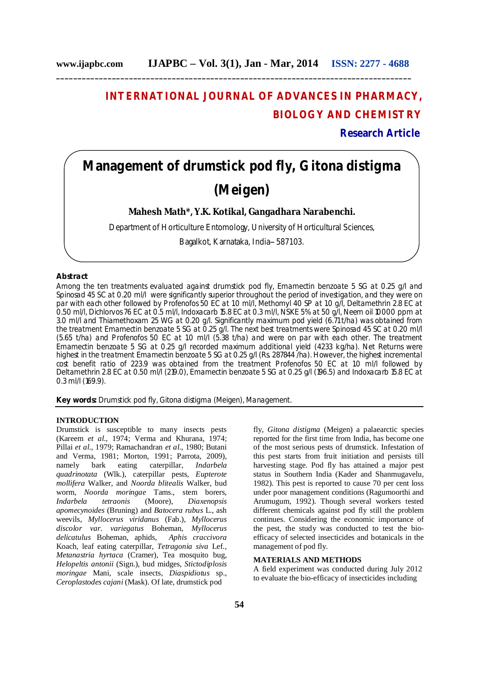## **INTERNATIONAL JOURNAL OF ADVANCES IN PHARMACY, BIOLOGY AND CHEMISTRY**

**Research Article**

# **Management of drumstick pod fly,** *Gitona distigma* **(Meigen)**

**Mahesh Math\*, Y.K. Kotikal, Gangadhara Narabenchi.**

Department of Horticulture Entomology, University of Horticultural Sciences,

Bagalkot, Karnataka, India-- 587103.

## **Abstract**

Among the ten treatments evaluated against drumstick pod fly, Emamectin benzoate 5 SG at 0.25 g/l and Spinosad 45 SC at 0.20 ml/l were significantly superior throughout the period of investigation, and they were on par with each other followed by Profenofos 50 EC at 1.0 ml/l, Methomyl 40 SP at 1.0 g/l, Deltamethrin 2.8 EC at 0.50 ml/l, Dichlorvos 76 EC at 0.5 ml/l, Indoxacarb 15.8 EC at 0.3 ml/l, NSKE 5% at 50 g/l, Neem oil 10000 ppm at 3.0 ml/l and Thiamethoxam 25 WG at 0.20 g/l. Significantly maximum pod yield (6.71 t/ha) was obtained from the treatment Emamectin benzoate 5 SG at 0.25 g/l. The next best treatments were Spinosad 45 SC at 0.20 ml/l (5.65 t/ha) and Profenofos 50 EC at 1.0 ml/l (5.38 t/ha) and were on par with each other. The treatment Emamectin benzoate 5 SG at 0.25 g/l recorded maximum additional yield (4233 kg/ha). Net Returns were highest in the treatment Emamectin benzoate 5 SG at 0.25 g/l (Rs. 287844 /ha). However, the highest incremental cost benefit ratio of 223.9 was obtained from the treatment Profenofos 50 EC at 1.0 ml/l followed by Deltamethrin 2.8 EC at 0.50 ml/l (219.0), Emamectin benzoate 5 SG at 0.25 g/l (196.5) and Indoxacarb 15.8 EC at 0.3 ml/l (169.9).

**Key words:** Drumstick pod fly, *Gitona distigma* (Meigen), Management.

#### **INTRODUCTION**

Drumstick is susceptible to many insects pests (Kareem *et al*., 1974; Verma and Khurana, 1974; Pillai *et al*., 1979; Ramachandran *et al.,* 1980; Butani and Verma, 1981; Morton, 1991; Parrota, 2009), namely bark eating caterpillar, *Indarbela quadrinotata* (Wlk.), caterpillar pests, *Eupterote mollifera* Walker, and *Noorda blitealis* Walker, bud worm, *Noorda moringae* Tams., stem borers, *Indarbela tetraonis* (Moore), *Diaxenopsis apomecynoides* (Bruning) and *Batocera rubus* L., ash weevils, *Myllocerus viridanus* (Fab.), *Myllocerus discolor var. variegatus* Boheman, *Myllocerus delicatulus* Boheman, aphids, *Aphis craccivora*  Koach, leaf eating caterpillar, *Tetragonia siva* Lef., *Metanastria hyrtaca* (Cramer), Tea mosquito bug, *Helopeltis antonii* (Sign.), bud midges, *Stictodiplosis moringae* Mani, scale insects, *Diaspidiotus* sp., *Ceroplastodes cajani* (Mask). Of late, drumstick pod

fly, *Gitona distigma* (Meigen) a palaearctic species reported for the first time from India, has become one of the most serious pests of drumstick. Infestation of this pest starts from fruit initiation and persists till harvesting stage. Pod fly has attained a major pest status in Southern India (Kader and Shanmugavelu, 1982). This pest is reported to cause 70 per cent loss under poor management conditions (Ragumoorthi and Arumugum, 1992). Though several workers tested different chemicals against pod fly still the problem continues. Considering the economic importance of the pest, the study was conducted to test the bioefficacy of selected insecticides and botanicals in the management of pod fly.

## **MATERIALS AND METHODS**

A field experiment was conducted during July 2012 to evaluate the bio-efficacy of insecticides including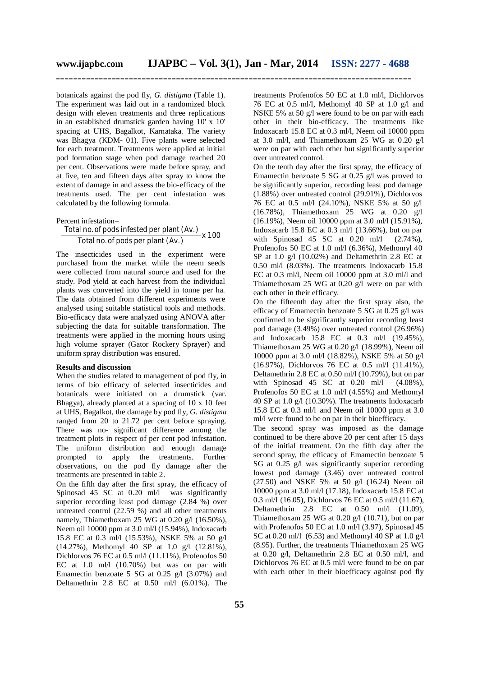botanicals against the pod fly, *G. distigma* (Table 1). The experiment was laid out in a randomized block design with eleven treatments and three replications in an established drumstick garden having 10' x 10' spacing at UHS, Bagalkot, Karnataka. The variety was Bhagya (KDM- 01). Five plants were selected for each treatment. Treatments were applied at initial pod formation stage when pod damage reached 20 per cent. Observations were made before spray, and at five, ten and fifteen days after spray to know the extent of damage in and assess the bio-efficacy of the treatments used. The per cent infestation was calculated by the following formula.

Percent infestation=

Total no. of pools infected per plant (Av.)  
Total no. of pools per plant (Av.)
$$
x 100
$$

The insecticides used in the experiment were purchased from the market while the neem seeds were collected from natural source and used for the study. Pod yield at each harvest from the individual plants was converted into the yield in tonne per ha. The data obtained from different experiments were analysed using suitable statistical tools and methods. Bio-efficacy data were analyzed using ANOVA after subjecting the data for suitable transformation. The treatments were applied in the morning hours using high volume sprayer (Gator Rockery Sprayer) and uniform spray distribution was ensured.

#### **Results and discussion**

When the studies related to management of pod fly, in terms of bio efficacy of selected insecticides and botanicals were initiated on a drumstick (var. Bhagya), already planted at a spacing of 10 x 10 feet at UHS, Bagalkot, the damage by pod fly, *G. distigma*  ranged from 20 to 21.72 per cent before spraying. There was no- significant difference among the treatment plots in respect of per cent pod infestation. The uniform distribution and enough damage<br>prompted to apply the treatments. Further to apply the treatments. Further observations, on the pod fly damage after the treatments are presented in table 2.

On the fifth day after the first spray, the efficacy of Spinosad 45 SC at 0.20 ml/l was significantly superior recording least pod damage (2.84 %) over untreated control (22.59 %) and all other treatments namely, Thiamethoxam 25 WG at 0.20 g/l (16.50%), Neem oil 10000 ppm at 3.0 ml/l (15.94%), Indoxacarb 15.8 EC at 0.3 ml/l (15.53%), NSKE 5% at 50 g/l (14.27%), Methomyl 40 SP at 1.0 g/l (12.81%), Dichlorvos 76 EC at 0.5 ml/l (11.11%), Profenofos 50 EC at 1.0 ml/l (10.70%) but was on par with Emamectin benzoate 5 SG at 0.25 g/l (3.07%) and Deltamethrin 2.8 EC at 0.50 ml/l (6.01%). The treatments Profenofos 50 EC at 1.0 ml/l, Dichlorvos 76 EC at 0.5 ml/l, Methomyl 40 SP at 1.0 g/l and NSKE 5% at 50 g/l were found to be on par with each other in their bio-efficacy. The treatments like Indoxacarb 15.8 EC at 0.3 ml/l, Neem oil 10000 ppm at 3.0 ml/l, and Thiamethoxam 25 WG at 0.20  $\varrho/$ were on par with each other but significantly superior over untreated control.

On the tenth day after the first spray, the efficacy of Emamectin benzoate 5 SG at 0.25 g/l was proved to be significantly superior, recording least pod damage (1.88%) over untreated control (29.91%), Dichlorvos 76 EC at 0.5 ml/l (24.10%), NSKE 5% at 50 g/l (16.78%), Thiamethoxam 25 WG at 0.20 g/l (16.19%), Neem oil 10000 ppm at 3.0 ml/l (15.91%), Indoxacarb 15.8 EC at  $0.3$  ml/l  $(13.66\%)$ , but on par with Spinosad 45 SC at  $0.20$  ml/l  $(2.74\%)$ , Profenofos 50 EC at 1.0 ml/l (6.36%), Methomyl 40 SP at 1.0 g/l (10.02%) and Deltamethrin 2.8 EC at 0.50 ml/l (8.03%). The treatments Indoxacarb 15.8 EC at 0.3 ml/l, Neem oil 10000 ppm at 3.0 ml/l and Thiamethoxam 25 WG at 0.20 g/l were on par with each other in their efficacy.

On the fifteenth day after the first spray also, the efficacy of Emamectin benzoate 5 SG at 0.25 g/l was confirmed to be significantly superior recording least pod damage (3.49%) over untreated control (26.96%) and Indoxacarb 15.8 EC at 0.3 ml/l (19.45%), Thiamethoxam 25 WG at 0.20 g/l (18.99%), Neem oil 10000 ppm at 3.0 ml/l (18.82%), NSKE 5% at 50 g/l (16.97%), Dichlorvos 76 EC at 0.5 ml/l (11.41%), Deltamethrin 2.8 EC at 0.50 ml/l (10.79%), but on par with Spinosad 45 SC at  $0.20$  ml/l  $(4.08\%)$ , Profenofos 50 EC at 1.0 ml/l (4.55%) and Methomyl 40 SP at 1.0 g/l (10.30%). The treatments Indoxacarb 15.8 EC at 0.3 ml/l and Neem oil 10000 ppm at 3.0 ml/l were found to be on par in their bioefficacy.

The second spray was imposed as the damage continued to be there above 20 per cent after 15 days of the initial treatment. On the fifth day after the second spray, the efficacy of Emamectin benzoate 5 SG at 0.25 g/l was significantly superior recording lowest pod damage (3.46) over untreated control (27.50) and NSKE 5% at 50 g/l (16.24) Neem oil 10000 ppm at 3.0 ml/l (17.18), Indoxacarb 15.8 EC at 0.3 ml/l (16.05), Dichlorvos 76 EC at 0.5 ml/l (11.67), Deltamethrin 2.8 EC at 0.50 ml/l (11.09), Thiamethoxam 25 WG at 0.20 g/l (10.71), but on par with Profenofos 50 EC at 1.0 ml/l (3.97), Spinosad 45 SC at 0.20 ml/l (6.53) and Methomyl 40 SP at 1.0 g/l (8.95). Further, the treatments Thiamethoxam 25 WG at 0.20 g/l, Deltamethrin 2.8 EC at 0.50 ml/l, and Dichlorvos 76 EC at 0.5 ml/l were found to be on par with each other in their bioefficacy against pod fly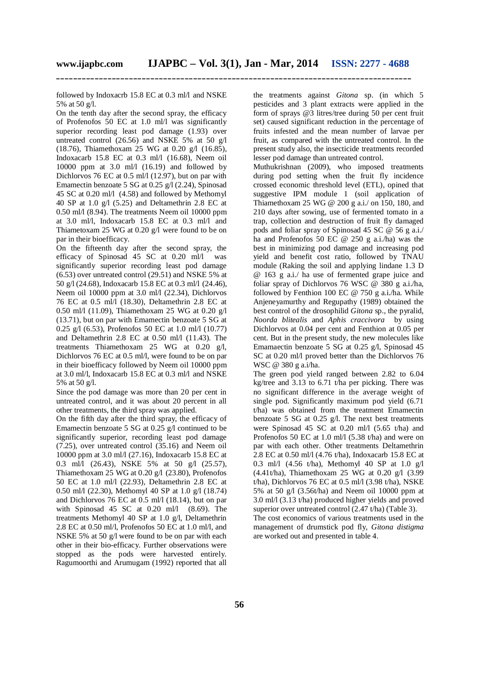followed by Indoxacrb 15.8 EC at 0.3 ml/l and NSKE 5% at 50 g/l.

On the tenth day after the second spray, the efficacy of Profenofos 50 EC at 1.0 ml/l was significantly superior recording least pod damage (1.93) over untreated control (26.56) and NSKE 5% at 50 g/l (18.76), Thiamethoxam 25 WG at 0.20 g/l (16.85), Indoxacarb 15.8 EC at 0.3 ml/l (16.68), Neem oil 10000 ppm at 3.0 ml/l (16.19) and followed by Dichlorvos 76 EC at 0.5 ml/l (12.97), but on par with Emamectin benzoate 5 SG at 0.25 g/l (2.24), Spinosad 45 SC at 0.20 ml/l (4.58) and followed by Methomyl 40 SP at 1.0 g/l (5.25) and Deltamethrin 2.8 EC at 0.50 ml/l (8.94). The treatments Neem oil 10000 ppm at 3.0 ml/l, Indoxacarb 15.8 EC at 0.3 ml/l and Thiametoxam 25 WG at 0.20 g/l were found to be on par in their bioefficacy.

On the fifteenth day after the second spray, the efficacy of Spinosad 45 SC at 0.20 ml/l was significantly superior recording least pod damage (6.53) over untreated control (29.51) and NSKE 5% at 50 g/l (24.68), Indoxacarb 15.8 EC at 0.3 ml/l (24.46), Neem oil 10000 ppm at 3.0 ml/l (22.34), Dichlorvos 76 EC at 0.5 ml/l (18.30), Deltamethrin 2.8 EC at 0.50 ml/l (11.09), Thiamethoxam 25 WG at 0.20 g/l (13.71), but on par with Emamectin benzoate 5 SG at 0.25 g/l (6.53), Profenofos 50 EC at 1.0 ml/l (10.77) and Deltamethrin 2.8 EC at 0.50 ml/l (11.43). The treatments Thiamethoxam 25 WG at 0.20 g/l, Dichlorvos 76 EC at 0.5 ml/l, were found to be on par in their bioefficacy followed by Neem oil 10000 ppm at 3.0 ml/l, Indoxacarb 15.8 EC at 0.3 ml/l and NSKE 5% at 50 g/l.

Since the pod damage was more than 20 per cent in untreated control, and it was about 20 percent in all other treatments, the third spray was applied.

On the fifth day after the third spray, the efficacy of Emamectin benzoate 5 SG at 0.25 g/l continued to be significantly superior, recording least pod damage (7.25), over untreated control (35.16) and Neem oil 10000 ppm at 3.0 ml/l (27.16), Indoxacarb 15.8 EC at 0.3 ml/l (26.43), NSKE 5% at 50 g/l (25.57), Thiamethoxam 25 WG at 0.20 g/l (23.80), Profenofos 50 EC at 1.0 ml/l (22.93), Deltamethrin 2.8 EC at 0.50 ml/l (22.30), Methomyl 40 SP at 1.0 g/l (18.74) and Dichlorvos 76 EC at 0.5 ml/l (18.14), but on par with Spinosad 45 SC at  $0.20$  ml/l  $(8.69)$ . The treatments Methomyl 40 SP at 1.0 g/l, Deltamethrin 2.8 EC at 0.50 ml/l, Profenofos 50 EC at 1.0 ml/l, and NSKE 5% at 50 g/l were found to be on par with each other in their bio-efficacy. Further observations were stopped as the pods were harvested entirely. Ragumoorthi and Arumugam (1992) reported that all the treatments against *Gitona* sp. (in which 5 pesticides and 3 plant extracts were applied in the form of sprays @3 litres/tree during 50 per cent fruit set) caused significant reduction in the percentage of fruits infested and the mean number of larvae per fruit, as compared with the untreated control. In the present study also, the insecticide treatments recorded lesser pod damage than untreated control.

Muthukrishnan (2009), who imposed treatments during pod setting when the fruit fly incidence crossed economic threshold level (ETL), opined that suggestive IPM module 1 (soil application of Thiamethoxam 25 WG @ 200 g a.i./ on 150, 180, and 210 days after sowing, use of fermented tomato in a trap, collection and destruction of fruit fly damaged pods and foliar spray of Spinosad 45 SC @ 56 g a.i./ ha and Profenofos 50 EC @ 250 g a.i./ha) was the best in minimizing pod damage and increasing pod yield and benefit cost ratio, followed by TNAU module (Raking the soil and applying lindane 1.3 D @ 163 g a.i./ ha use of fermented grape juice and foliar spray of Dichlorvos 76 WSC @ 380 g a.i./ha, followed by Fenthion 100 EC @ 750 g a.i./ha. While Anjeneyamurthy and Regupathy (1989) obtained the best control of the drosophilid *Gitona* sp., the pyralid, *Noorda blitealis* and *Aphis craccivora* by using Dichlorvos at 0.04 per cent and Fenthion at 0.05 per cent. But in the present study, the new molecules like Emamaectin benzoate 5 SG at 0.25 g/l, Spinosad 45 SC at 0.20 ml/l proved better than the Dichlorvos 76 WSC @ 380 g a.i/ha.

The green pod yield ranged between 2.82 to 6.04 kg/tree and 3.13 to 6.71 t/ha per picking. There was no significant difference in the average weight of single pod. Significantly maximum pod yield (6.71 t/ha) was obtained from the treatment Emamectin benzoate 5 SG at 0.25 g/l. The next best treatments were Spinosad 45 SC at 0.20 ml/l (5.65 t/ha) and Profenofos 50 EC at 1.0 ml/l (5.38 t/ha) and were on par with each other. Other treatments Deltamethrin 2.8 EC at 0.50 ml/l (4.76 t/ha), Indoxacarb 15.8 EC at 0.3 ml/l (4.56 t/ha), Methomyl 40 SP at 1.0 g/l  $(4.41t/ha)$ , Thiamethoxam 25 WG at 0.20 g/l  $(3.99$ t/ha), Dichlorvos 76 EC at  $0.5$  ml/l (3.98 t/ha), NSKE 5% at 50 g/l (3.56t/ha) and Neem oil 10000 ppm at 3.0 ml/l (3.13 t/ha) produced higher yields and proved superior over untreated control (2.47 t/ha) (Table 3). The cost economics of various treatments used in the management of drumstick pod fly, *Gitona distigma* are worked out and presented in table 4.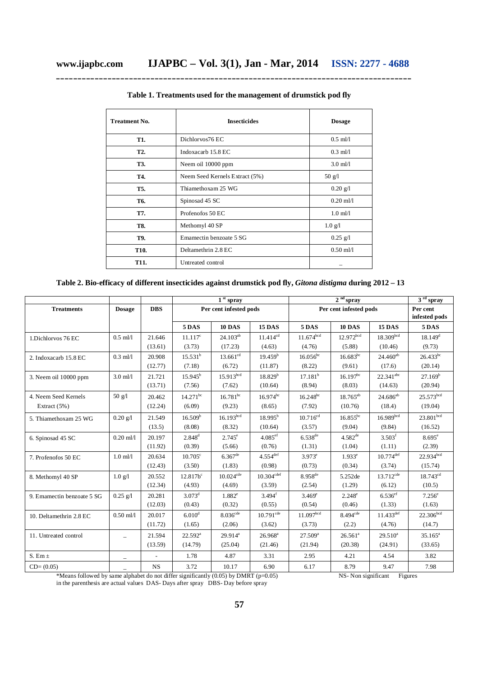| <b>Treatment No.</b> | <b>Insecticides</b>            | <b>Dosage</b>           |  |  |
|----------------------|--------------------------------|-------------------------|--|--|
| T1.                  | Dichlorvos76 EC                | $0.5$ ml/l              |  |  |
| T2.                  | Indoxacarb 15.8 EC             | $0.3$ ml/l              |  |  |
| T3.                  | Neem oil 10000 ppm             | $3.0$ ml/l              |  |  |
| T4.                  | Neem Seed Kernels Extract (5%) | $50 \text{ g}/\text{l}$ |  |  |
| T5.                  | Thiamethoxam 25 WG             | $0.20$ g/l              |  |  |
| T6.                  | Spinosad 45 SC                 | $0.20$ ml/l             |  |  |
| T7.                  | Profenofos 50 EC               | $1.0$ ml/l              |  |  |
| T8.                  | Methomyl 40 SP                 | $1.0 \text{ g/l}$       |  |  |
| T9.                  | Emamectin benzoate 5 SG        | $0.25$ g/l              |  |  |
| <b>T10.</b>          | Deltamethrin 2.8 EC            | $0.50$ ml/l             |  |  |
| T11.                 | Untreated control              |                         |  |  |

**Table 1. Treatments used for the management of drumstick pod fly**

**Table 2. Bio-efficacy of different insecticides against drumstick pod fly,** *Gitona distigma* **during 2012 – 13**

|                            |                          |            | $1st$ spray            |                       |                        | $2nd$ spray            |                        |                         | 3 <sup>rd</sup> spray     |
|----------------------------|--------------------------|------------|------------------------|-----------------------|------------------------|------------------------|------------------------|-------------------------|---------------------------|
| <b>Treatments</b>          | <b>Dosage</b>            | <b>DBS</b> | Per cent infested pods |                       |                        | Per cent infested pods |                        |                         | Per cent<br>infested pods |
|                            |                          |            | 5 DAS                  | 10 DAS                | <b>15 DAS</b>          | 5 DAS                  | <b>10 DAS</b>          | <b>15 DAS</b>           | <b>5 DAS</b>              |
| 1.Dichlorvos 76 EC         | $0.5$ ml/l               | 21.646     | $11.117^c$             | $24.103^{ab}$         | $11.414^{cd}$          | $11.674^{bcd}$         | $12.972^{bcd}$         | 18.309 <sup>bcd</sup>   | $18.149$ <sup>d</sup>     |
|                            |                          | (13.61)    | (3.73)                 | (17.23)               | (4.63)                 | (4.76)                 | (5.88)                 | (10.46)                 | (9.73)                    |
| 2. Indoxacarb 15.8 EC      | $0.3$ ml/l               | 20.908     | $15.531^{b}$           | $13.661^{cd}$         | 19.459 <sup>b</sup>    | $16.056$ bc            | $16.683^{bc}$          | $24.460^{ab}$           | $26.433^{bc}$             |
|                            |                          | (12.77)    | (7.18)                 | (6.72)                | (11.87)                | (8.22)                 | (9.61)                 | (17.6)                  | (20.14)                   |
| 3. Neem oil 10000 ppm      | $3.0$ ml/l               | 21.721     | $15.945^{\rm b}$       | 15.913 <sup>bcd</sup> | 18.829 <sup>b</sup>    | $17.181^b$             | $16.197^{bc}$          | $22.341^{\text{abc}}$   | 27.169 <sup>b</sup>       |
|                            |                          | (13.71)    | (7.56)                 | (7.62)                | (10.64)                | (8.94)                 | (8.03)                 | (14.63)                 | (20.94)                   |
| 4. Neem Seed Kernels       | $50 \text{ g}/\text{l}$  | 20.462     | $14.271^{bc}$          | $16.781^{bc}$         | $16.974^{bc}$          | $16.248^{bc}$          | $18.765^{ab}$          | $24.686^{ab}$           | $25.573^{bcd}$            |
| Extract $(5%)$             |                          | (12.24)    | (6.09)                 | (9.23)                | (8.65)                 | (7.92)                 | (10.76)                | (18.4)                  | (19.04)                   |
| 5. Thiamethoxam 25 WG      | $0.20$ g/l               | 21.549     | 16.509 <sup>b</sup>    | 16.193 <sup>bcd</sup> | $18.995^{b}$           | $10.716^{cd}$          | $16.855^{bc}$          | 16.989 <sup>bcd</sup>   | 23.801 <sup>bcd</sup>     |
|                            |                          | (13.5)     | (8.08)                 | (8.32)                | (10.64)                | (3.57)                 | (9.04)                 | (9.84)                  | (16.52)                   |
| 6. Spinosad 45 SC          | $0.20$ ml/l              | 20.197     | $2.848^d$              | $2.745^{\circ}$       | $4.085$ <sup>ef</sup>  | $6.538^{de}$           | $4.582^{de}$           | 3.503 <sup>f</sup>      | $8.695^{\circ}$           |
|                            |                          | (11.92)    | (0.39)                 | (5.66)                | (0.76)                 | (1.31)                 | (1.04)                 | (1.11)                  | (2.39)                    |
| 7. Profenofos 50 EC        | $1.0$ ml/l               | 20.634     | $10.705^{\circ}$       | $6.367$ <sup>de</sup> | $4.554$ <sup>def</sup> | $3.973^e$              | $1.933^{e}$            | $10.774$ <sup>def</sup> | $22.934^{bcd}$            |
|                            |                          | (12.43)    | (3.50)                 | (1.83)                | (0.98)                 | (0.73)                 | (0.34)                 | (3.74)                  | (15.74)                   |
| 8. Methomyl 40 SP          | $1.0$ g/l                | 20.552     | $12.817b^c$            | $10.024^\mathrm{cde}$ | $10.304^{\rm cdef}$    | 8.958 <sup>de</sup>    | 5.252de                | $13.712^{\text{cde}}$   | $18.743^{cd}$             |
|                            |                          | (12.34)    | (4.93)                 | (4.69)                | (3.59)                 | (2.54)                 | (1.29)                 | (6.12)                  | (10.5)                    |
| 9. Emamectin benzoate 5 SG | $0.25$ g/l               | 20.281     | $3.073^{\rm d}$        | $1.882^e$             | $3.494$ <sup>f</sup>   | $3.469^e$              | $2.248^{\circ}$        | $6.536$ <sup>ef</sup>   | $7.256^{\circ}$           |
|                            |                          | (12.03)    | (0.43)                 | (0.32)                | (0.55)                 | (0.54)                 | (0.46)                 | (1.33)                  | (1.63)                    |
| 10. Deltamethrin 2.8 EC    | $0.50$ ml/l              | 20.017     | 6.010 <sup>d</sup>     | 8.036 <sup>cde</sup>  | $10.791^{\rm cde}$     | 11.097 <sup>bcd</sup>  | $8.494$ <sup>cde</sup> | $11.433^{def}$          | $22.306^{bcd}$            |
|                            |                          | (11.72)    | (1.65)                 | (2.06)                | (3.62)                 | (3.73)                 | (2.2)                  | (4.76)                  | (14.7)                    |
| 11. Untreated control      | $\overline{\phantom{a}}$ | 21.594     | $22.592^a$             | $29.914^a$            | $26.968$ <sup>a</sup>  | $27.509^{a}$           | $26.561^a$             | $29.510^a$              | $35.165^a$                |
|                            |                          | (13.59)    | (14.79)                | (25.04)               | (21.46)                | (21.94)                | (20.38)                | (24.91)                 | (33.65)                   |
| S. Em $\pm$                | $\overline{\phantom{0}}$ |            | 1.78                   | 4.87                  | 3.31                   | 2.95                   | 4.21                   | 4.54                    | 3.82                      |
| $CD=(0.05)$                |                          | <b>NS</b>  | 3.72                   | 10.17                 | 6.90                   | 6.17                   | 8.79                   | 9.47                    | 7.98                      |

\*Means followed by same alphabet do not differ significantly (0.05) by DMRT (p=0.05) NS- Non significant Figures in the parenthesis are actual values DAS- Days after spray DBS- Day before spray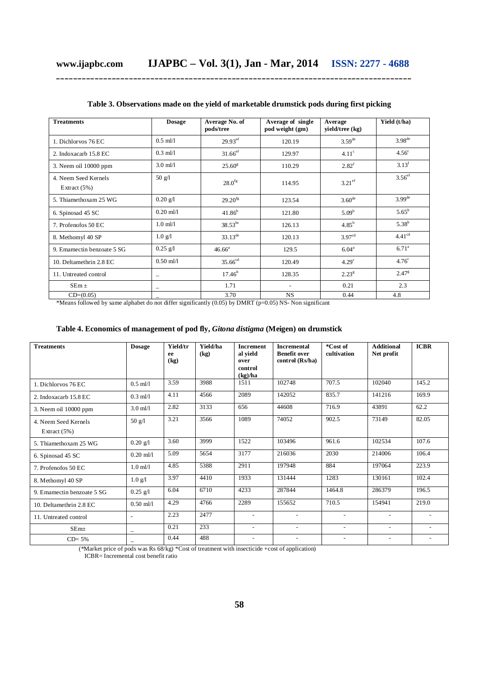| <b>Treatments</b>                     | <b>Dosage</b>            | Average No. of<br>pods/tree | Average of single<br>pod weight (gm) | Average<br>yield/tree (kg) | Yield (t/ha)         |
|---------------------------------------|--------------------------|-----------------------------|--------------------------------------|----------------------------|----------------------|
| 1. Dichlorvos 76 EC                   | $0.5$ ml/l               | $29.93$ <sup>ef</sup>       | 120.19                               | $3.59^{\text{de}}$         | 3.98 <sup>de</sup>   |
| 2. Indoxacarb 15.8 EC                 | $0.3$ ml/l               | $31.66$ <sup>ef</sup>       | 129.97                               | 4.11 <sup>c</sup>          | 4.56 <sup>c</sup>    |
| 3. Neem oil 10000 ppm                 | $3.0$ ml/l               | $25.60^{\rm g}$             | 110.29                               | $2.82^{f}$                 | 3.13 <sup>f</sup>    |
| 4 Neem Seed Kernels<br>Extract $(5%)$ | $50 \text{ g}/\text{l}$  | $28.0$ <sup>fg</sup>        | 114.95                               | $3.21$ <sup>ef</sup>       | $3.56$ <sup>ef</sup> |
| 5. Thiamethoxam 25 WG                 | $0.20$ g/l               | $29.20^{fg}$                | 123.54                               | $3.60^{\text{de}}$         | $3.99$ <sup>de</sup> |
| 6. Spinosad 45 SC                     | $0.20$ ml/l              | $41.86^{b}$                 | 121.80                               | 5.09 <sup>b</sup>          | $5.65^{\rm b}$       |
| 7. Profenofos 50 EC                   | $1.0$ ml/l               | $38.53^{bc}$                | 126.13                               | $4.85^{b}$                 | $5.38^{b}$           |
| 8. Methomyl 40 SP                     | $1.0 \text{ g/l}$        | $33.13^{\text{de}}$         | 120.13                               | 3.97 <sup>cd</sup>         | 4.41 <sup>cd</sup>   |
| 9. Emamectin benzoate 5 SG            | $0.25$ g/l               | $46.66^a$                   | 129.5                                | 6.04 <sup>a</sup>          | $6.71^{\circ}$       |
| 10. Deltamethrin 2.8 EC               | $0.50$ ml/l              | 35.66 <sup>cd</sup>         | 120.49                               | 4.29 <sup>c</sup>          | 4.76 <sup>c</sup>    |
| 11. Untreated control                 | $\overline{\phantom{0}}$ | $17.46^h$                   | 128.35                               | 2.23 <sup>g</sup>          | $2.47^{\rm g}$       |
| $SEm \pm$                             | -                        | 1.71                        | $\overline{\phantom{a}}$             | 0.21                       | 2.3                  |
| $CD=(0.05)$                           |                          | 3.70                        | <b>NS</b>                            | 0.44                       | 4.8                  |

**Table 3. Observations made on the yield of marketable drumstick pods during first picking**

\*Means followed by same alphabet do not differ significantly (0.05) by DMRT (p=0.05) NS- Non significant

## **Table 4. Economics of management of pod fly,** *Gitona distigma* **(Meigen) on drumstick**

| <b>Treatments</b>                      | <b>Dosage</b>             | Yield/tr<br>ee<br>(kg) | Yield/ha<br>(kg) | <b>Increment</b><br>al yield<br>over<br>control<br>(kg)/ha | <b>Incremental</b><br><b>Benefit over</b><br>control (Rs/ha) | *Cost of<br>cultivation  | <b>Additional</b><br>Net profit | <b>ICBR</b>              |
|----------------------------------------|---------------------------|------------------------|------------------|------------------------------------------------------------|--------------------------------------------------------------|--------------------------|---------------------------------|--------------------------|
| 1. Dichlorvos 76 EC                    | $0.5$ ml/l                | 3.59                   | 3988             | 1511                                                       | 102748                                                       | 707.5                    | 102040                          | 145.2                    |
| 2. Indoxacarb 15.8 EC                  | $0.3$ ml/l                | 4.11                   | 4566             | 2089                                                       | 142052                                                       | 835.7                    | 141216                          | 169.9                    |
| 3. Neem oil 10000 ppm                  | $3.0$ ml/l                | 2.82                   | 3133             | 656                                                        | 44608                                                        | 716.9                    | 43891                           | 62.2                     |
| 4. Neem Seed Kernels<br>Extract $(5%)$ | 50 g/l                    | 3.21                   | 3566             | 1089                                                       | 74052                                                        | 902.5                    | 73149                           | 82.05                    |
| 5. Thiamethoxam 25 WG                  | $0.20 \text{ g}/\text{l}$ | 3.60                   | 3999             | 1522                                                       | 103496                                                       | 961.6                    | 102534                          | 107.6                    |
| 6. Spinosad 45 SC                      | $0.20$ ml/l               | 5.09                   | 5654             | 3177                                                       | 216036                                                       | 2030                     | 214006                          | 106.4                    |
| 7. Profenofos 50 EC                    | $1.0$ m $1$               | 4.85                   | 5388             | 2911                                                       | 197948                                                       | 884                      | 197064                          | 223.9                    |
| 8. Methomyl 40 SP                      | $1.0 \text{ g}/\text{l}$  | 3.97                   | 4410             | 1933                                                       | 131444                                                       | 1283                     | 130161                          | 102.4                    |
| 9. Emamectin benzoate 5 SG             | $0.25$ g/l                | 6.04                   | 6710             | 4233                                                       | 287844                                                       | 1464.8                   | 286379                          | 196.5                    |
| 10. Deltamethrin 2.8 EC                | $0.50$ ml/l               | 4.29                   | 4766             | 2289                                                       | 155652                                                       | 710.5                    | 154941                          | 219.0                    |
| 11. Untreated control                  | $\overline{\phantom{a}}$  | 2.23                   | 2477             | $\overline{\phantom{a}}$                                   | $\overline{\phantom{a}}$                                     | $\overline{\phantom{a}}$ | $\qquad \qquad -$               |                          |
| SEm <sub>±</sub>                       | $\overline{\phantom{m}}$  | 0.21                   | 233              |                                                            | $\overline{\phantom{a}}$                                     | $\overline{\phantom{a}}$ | $\overline{a}$                  |                          |
| $CD = 5%$                              | $\overline{\phantom{m}}$  | 0.44                   | 488              | $\qquad \qquad -$                                          | $\overline{\phantom{a}}$                                     | $\overline{\phantom{a}}$ | $\overline{\phantom{a}}$        | $\overline{\phantom{a}}$ |

(\*Market price of pods was Rs 68/kg) \*Cost of treatment with insecticide +cost of application)

 $ICBR = Incremental cost benefit ratio$